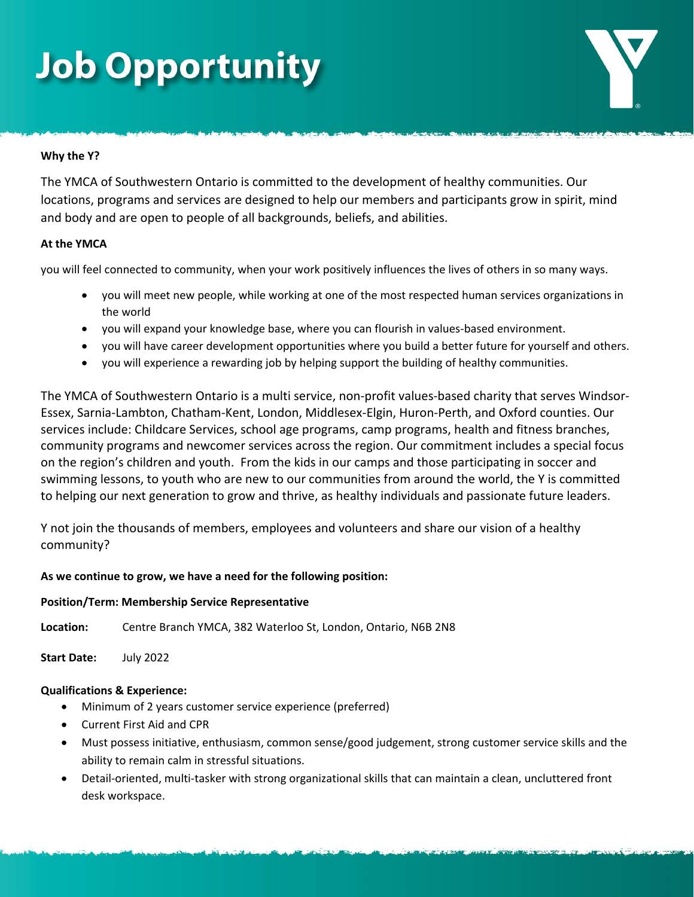# **Job Opportunity**

# **Why the Y?**

The YMCA of Southwestern Ontario is committed to the development of healthy communities. Our locations, programs and services are designed to help our members and participants grow in spirit, mind and body and are open to people of all backgrounds, beliefs, and abilities.

### **At the YMCA**

you will feel connected to community, when your work positively influences the lives of others in so many ways.

- you will meet new people, while working at one of the most respected human services organizations in the world
- you will expand your knowledge base, where you can flourish in values-based environment.
- you will have career development opportunities where you build a better future for yourself and others.
- you will experience a rewarding job by helping support the building of healthy communities.

The YMCA of Southwestern Ontario is a multi service, non-profit values-based charity that serves Windsor-Essex, Sarnia-Lambton, Chatham-Kent, London, Middlesex-Elgin, Huron-Perth, and Oxford counties. Our services include: Childcare Services, school age programs, camp programs, health and fitness branches, community programs and newcomer services across the region. Our commitment includes a special focus on the region's children and youth. From the kids in our camps and those participating in soccer and swimming lessons, to youth who are new to our communities from around the world, the Y is committed to helping our next generation to grow and thrive, as healthy individuals and passionate future leaders.

Y not join the thousands of members, employees and volunteers and share our vision of a healthy community?

# **As we continue to grow, we have a need for the following position:**

#### **Position/Term: Membership Service Representative**

**Location:** Centre Branch YMCA, 382 Waterloo St, London, Ontario, N6B 2N8

**Start Date:** July 2022

#### **Qualifications & Experience:**

- Minimum of 2 years customer service experience (preferred)
- Current First Aid and CPR
- Must possess initiative, enthusiasm, common sense/good judgement, strong customer service skills and the ability to remain calm in stressful situations.
- Detail-oriented, multi-tasker with strong organizational skills that can maintain a clean, uncluttered front desk workspace.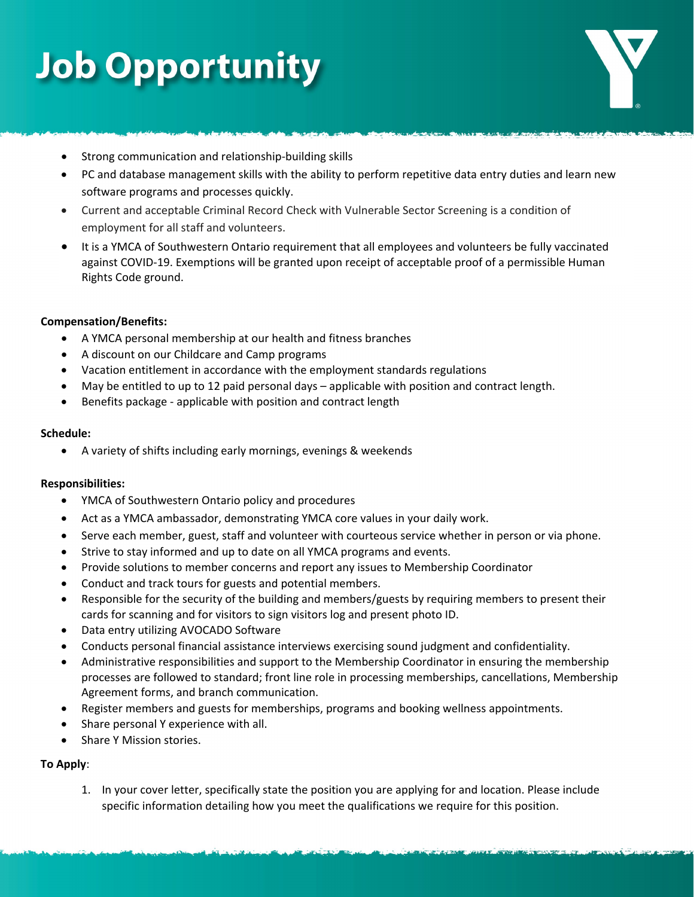# **Job Opportunity**

- Strong communication and relationship-building skills
- PC and database management skills with the ability to perform repetitive data entry duties and learn new software programs and processes quickly.
- Current and acceptable Criminal Record Check with Vulnerable Sector Screening is a condition of employment for all staff and volunteers.
- It is a YMCA of Southwestern Ontario requirement that all employees and volunteers be fully vaccinated against COVID-19. Exemptions will be granted upon receipt of acceptable proof of a permissible Human Rights Code ground.

# **Compensation/Benefits:**

- A YMCA personal membership at our health and fitness branches
- A discount on our Childcare and Camp programs
- Vacation entitlement in accordance with the employment standards regulations
- May be entitled to up to 12 paid personal days applicable with position and contract length.
- Benefits package applicable with position and contract length

### **Schedule:**

• A variety of shifts including early mornings, evenings & weekends

# **Responsibilities:**

- YMCA of Southwestern Ontario policy and procedures
- Act as a YMCA ambassador, demonstrating YMCA core values in your daily work.
- Serve each member, guest, staff and volunteer with courteous service whether in person or via phone.
- Strive to stay informed and up to date on all YMCA programs and events.
- Provide solutions to member concerns and report any issues to Membership Coordinator
- Conduct and track tours for guests and potential members.
- Responsible for the security of the building and members/guests by requiring members to present their cards for scanning and for visitors to sign visitors log and present photo ID.
- Data entry utilizing AVOCADO Software
- Conducts personal financial assistance interviews exercising sound judgment and confidentiality.
- Administrative responsibilities and support to the Membership Coordinator in ensuring the membership processes are followed to standard; front line role in processing memberships, cancellations, Membership Agreement forms, and branch communication.
- Register members and guests for memberships, programs and booking wellness appointments.
- Share personal Y experience with all.
- Share Y Mission stories.

# **To Apply**:

1. In your cover letter, specifically state the position you are applying for and location. Please include specific information detailing how you meet the qualifications we require for this position.